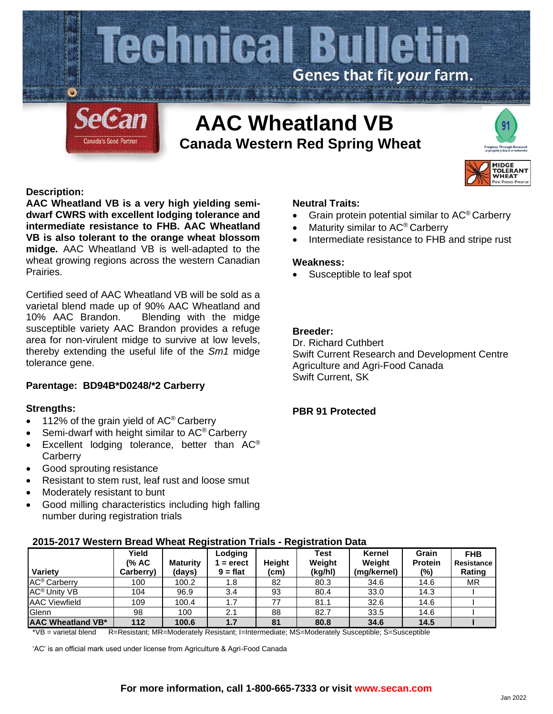

# **Canada Western Red Spring Wheat**



# **Description:**

**AAC Wheatland VB is a very high yielding semidwarf CWRS with excellent lodging tolerance and intermediate resistance to FHB. AAC Wheatland VB is also tolerant to the orange wheat blossom midge.** AAC Wheatland VB is well-adapted to the wheat growing regions across the western Canadian Prairies.

Certified seed of AAC Wheatland VB will be sold as a varietal blend made up of 90% AAC Wheatland and 10% AAC Brandon. Blending with the midge susceptible variety AAC Brandon provides a refuge area for non-virulent midge to survive at low levels, thereby extending the useful life of the *Sm1* midge tolerance gene.

# **Parentage: BD94B\*D0248/\*2 Carberry**

## **Strengths:**

- 112% of the grain yield of  $AC^{\circ}$  Carberry
- Semi-dwarf with height similar to AC<sup>®</sup> Carberry
- Excellent lodging tolerance, better than  $AC^{\circ}$ **Carberry**
- Good sprouting resistance
- Resistant to stem rust, leaf rust and loose smut
- Moderately resistant to bunt
- Good milling characteristics including high falling number during registration trials

#### **Neutral Traits:**

- Grain protein potential similar to AC® Carberry
- Maturity similar to AC<sup>®</sup> Carberry
- Intermediate resistance to FHB and stripe rust

#### **Weakness:**

Susceptible to leaf spot

# **Breeder:**

Dr. Richard Cuthbert Swift Current Research and Development Centre Agriculture and Agri-Food Canada Swift Current, SK

# **PBR 91 Protected**

|                                | <u> ZUTƏ-ZUT7 WESTEM DI BAY WILBAL KEYISLI ALION TITAIS - KEYISLI ALION DALA</u> |                           |                                    |                |                           |                                 |                                   |                                    |  |  |  |  |  |  |  |
|--------------------------------|----------------------------------------------------------------------------------|---------------------------|------------------------------------|----------------|---------------------------|---------------------------------|-----------------------------------|------------------------------------|--|--|--|--|--|--|--|
| Variety                        | Yield<br>(% AC<br>Carberry)                                                      | <b>Maturity</b><br>(days) | Lodging<br>$=$ erect<br>$9 = flat$ | Heiaht<br>(cm) | Test<br>Weight<br>(kg/hl) | Kernel<br>Weight<br>(mg/kernel) | Grain<br><b>Protein</b><br>$(\%)$ | <b>FHB</b><br>Resistance<br>Rating |  |  |  |  |  |  |  |
| AC <sup>®</sup> Carberry       | 100                                                                              | 100.2                     | 1.8                                | 82             | 80.3                      | 34.6                            | 14.6                              | МR                                 |  |  |  |  |  |  |  |
|                                |                                                                                  |                           |                                    |                |                           |                                 |                                   |                                    |  |  |  |  |  |  |  |
| <b>AC<sup>®</sup> Unity VB</b> | 104                                                                              | 96.9                      | 3.4                                | 93             | 80.4                      | 33.0                            | 14.3                              |                                    |  |  |  |  |  |  |  |
| <b>AAC Viewfield</b>           | 109                                                                              | 100.4                     | 1.7                                | 77             | 81.1                      | 32.6                            | 14.6                              |                                    |  |  |  |  |  |  |  |
| Glenn                          | 98                                                                               | 100                       | 2.1                                | 88             | 82.7                      | 33.5                            | 14.6                              |                                    |  |  |  |  |  |  |  |
| AAC Wheatland VB*              | 112                                                                              | 100.6                     | 1.7                                | 81             | 80.8                      | 34.6                            | 14.5                              |                                    |  |  |  |  |  |  |  |

# **2015-2017 Western Bread Wheat Registration Trials - Registration Data**

\*VB = varietal blend R=Resistant; MR=Moderately Resistant; I=Intermediate; MS=Moderately Susceptible; S=Susceptible

'AC' is an official mark used under license from Agriculture & Agri-Food Canada